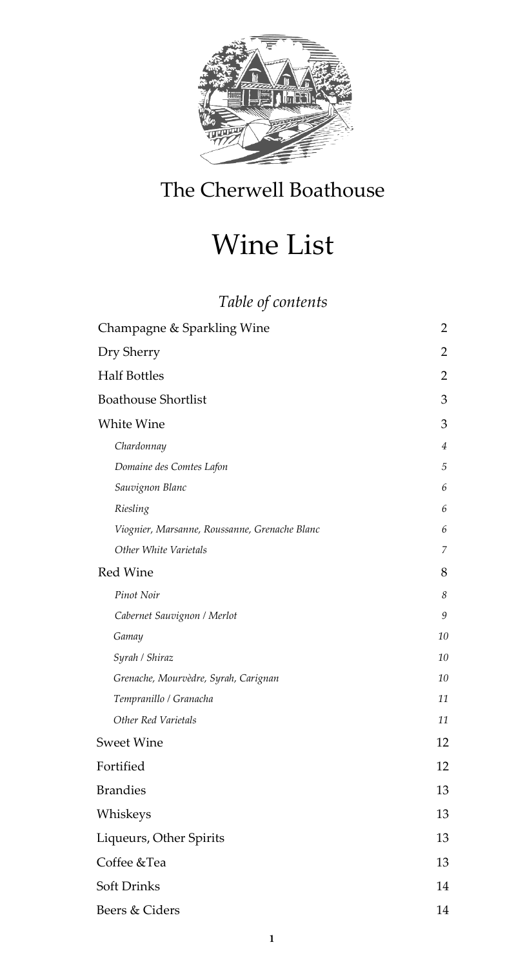

## The Cherwell Boathouse

# Wine List

## *Table of contents*

| Champagne & Sparkling Wine                    | $\overline{2}$ |
|-----------------------------------------------|----------------|
| Dry Sherry                                    | $\overline{2}$ |
| <b>Half Bottles</b>                           | $\overline{2}$ |
| <b>Boathouse Shortlist</b>                    | 3              |
| White Wine                                    | 3              |
| Chardonnay                                    | $\overline{4}$ |
| Domaine des Comtes Lafon                      | $\sqrt{5}$     |
| Sauvignon Blanc                               | 6              |
| Riesling                                      | 6              |
| Viognier, Marsanne, Roussanne, Grenache Blanc | 6              |
| Other White Varietals                         | $\overline{7}$ |
| Red Wine                                      | 8              |
| Pinot Noir                                    | 8              |
| Cabernet Sauvignon / Merlot                   | 9              |
| Gamay                                         | 10             |
| Syrah / Shiraz                                | 10             |
| Grenache, Mourvèdre, Syrah, Carignan          | 10             |
| Tempranillo / Granacha                        | 11             |
| Other Red Varietals                           | 11             |
| <b>Sweet Wine</b>                             | 12             |
| Fortified                                     | 12             |
| <b>Brandies</b>                               | 13             |
| Whiskeys                                      | 13             |
| Liqueurs, Other Spirits                       | 13             |
| Coffee &Tea                                   | 13             |
| Soft Drinks                                   | 14             |
| Beers & Ciders                                | 14             |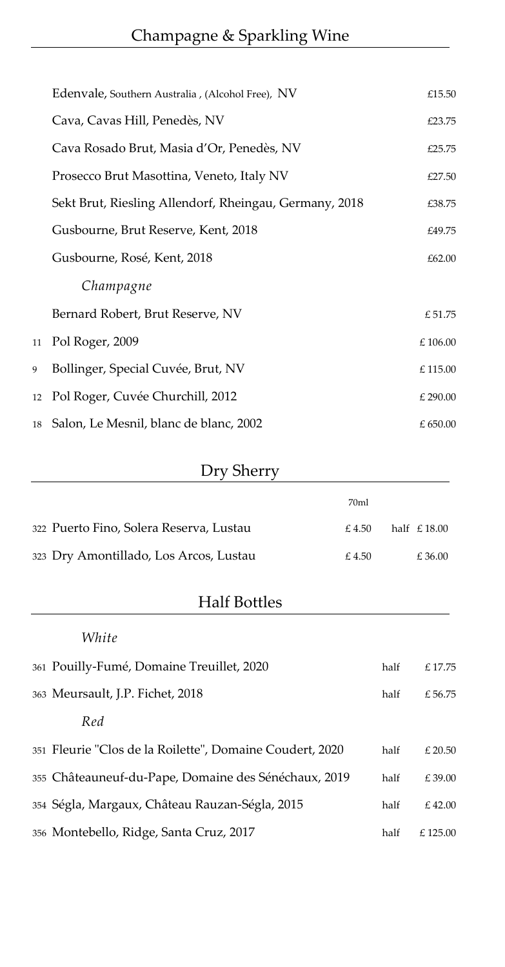<span id="page-1-0"></span>

|   | Edenvale, Southern Australia, (Alcohol Free), NV       | £15.50           |
|---|--------------------------------------------------------|------------------|
|   | Cava, Cavas Hill, Penedès, NV                          | £23.75           |
|   | Cava Rosado Brut, Masia d'Or, Penedès, NV              | £25.75           |
|   | Prosecco Brut Masottina, Veneto, Italy NV              | £27.50           |
|   | Sekt Brut, Riesling Allendorf, Rheingau, Germany, 2018 | £38.75           |
|   | Gusbourne, Brut Reserve, Kent, 2018                    | £49.75           |
|   | Gusbourne, Rosé, Kent, 2018                            | £62.00           |
|   | Champagne                                              |                  |
|   | Bernard Robert, Brut Reserve, NV                       | £51.75           |
|   | 11 Pol Roger, 2009                                     | $\pounds$ 106.00 |
| 9 | Bollinger, Special Cuvée, Brut, NV                     | £115.00          |
|   | 12 Pol Roger, Cuvée Churchill, 2012                    | £ 290.00         |
|   | 18 Salon, Le Mesnil, blanc de blanc, 2002              | £ 650.00         |

### Dry Sherry

<span id="page-1-2"></span><span id="page-1-1"></span>

|                                         | 70ml  |               |
|-----------------------------------------|-------|---------------|
| 322 Puerto Fino, Solera Reserva, Lustau | £4.50 | half $£18.00$ |
| 323 Dry Amontillado, Los Arcos, Lustau  | £4.50 | £36.00        |

### Half Bottles

### *White*

| 361 Pouilly-Fumé, Domaine Treuillet, 2020                | half | £17.75   |
|----------------------------------------------------------|------|----------|
| 363 Meursault, J.P. Fichet, 2018                         | half | £ 56.75  |
| Red                                                      |      |          |
| 351 Fleurie "Clos de la Roilette", Domaine Coudert, 2020 | half | £20.50   |
| 355 Châteauneuf-du-Pape, Domaine des Sénéchaux, 2019     | half | £39.00   |
| 354 Ségla, Margaux, Château Rauzan-Ségla, 2015           | half | £42.00   |
| 356 Montebello, Ridge, Santa Cruz, 2017                  | half | £ 125.00 |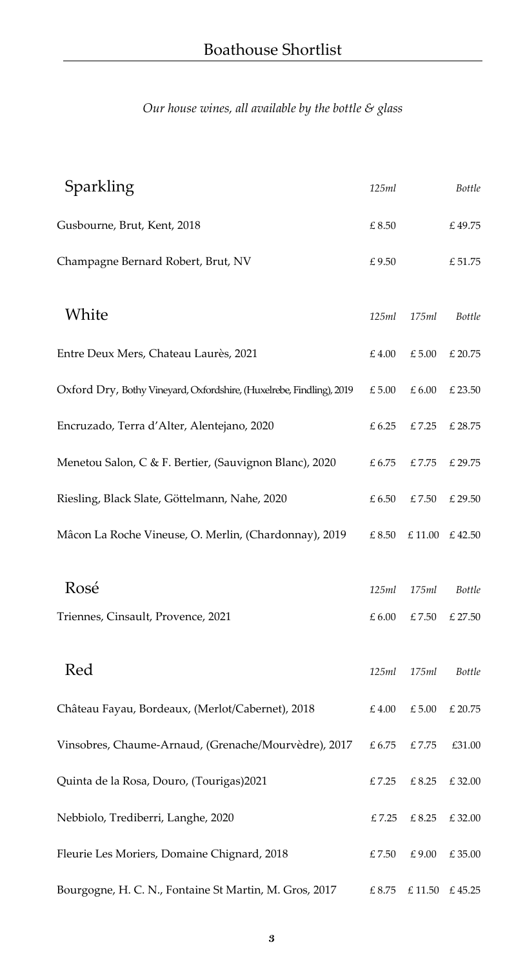<span id="page-2-0"></span>*Our house wines, all available by the bottle & glass*

<span id="page-2-1"></span>

| Sparkling                                                            | 125ml           |                 | <b>Bottle</b> |
|----------------------------------------------------------------------|-----------------|-----------------|---------------|
| Gusbourne, Brut, Kent, 2018                                          | £8.50           |                 | £49.75        |
| Champagne Bernard Robert, Brut, NV                                   | £9.50           |                 | £ 51.75       |
| White                                                                | 125ml           | 175ml           | <b>Bottle</b> |
| Entre Deux Mers, Chateau Laurès, 2021                                | £4.00           | £ 5.00          | £ 20.75       |
| Oxford Dry, Bothy Vineyard, Oxfordshire, (Huxelrebe, Findling), 2019 | £ 5.00          | £6.00           | £ 23.50       |
| Encruzado, Terra d'Alter, Alentejano, 2020                           | £ 6.25          | £7.25           | £ 28.75       |
| Menetou Salon, C & F. Bertier, (Sauvignon Blanc), 2020               | £6.75           | £7.75           | £ 29.75       |
| Riesling, Black Slate, Göttelmann, Nahe, 2020                        | £6.50           | £7.50           | £ 29.50       |
| Mâcon La Roche Vineuse, O. Merlin, (Chardonnay), 2019                | £ 8.50          |                 | £11.00 £42.50 |
| Rosé                                                                 | 125ml           | 175ml           | <b>Bottle</b> |
| Triennes, Cinsault, Provence, 2021                                   | £6.00           | £7.50           | £ 27.50       |
| Red                                                                  | 125ml           | 175ml           | Bottle        |
| Château Fayau, Bordeaux, (Merlot/Cabernet), 2018                     | $\pounds\,4.00$ | $\pounds$ 5.00  | £ 20.75       |
| Vinsobres, Chaume-Arnaud, (Grenache/Mourvèdre), 2017                 | $\pounds$ 6.75  | $\pounds$ 7.75  | £31.00        |
| Quinta de la Rosa, Douro, (Tourigas)2021                             | £7.25           | £ 8.25          | £32.00        |
| Nebbiolo, Trediberri, Langhe, 2020                                   | $\pounds$ 7.25  | $\pounds\,8.25$ | £32.00        |
| Fleurie Les Moriers, Domaine Chignard, 2018                          | £7.50           | $\pounds\,9.00$ | £35.00        |
| Bourgogne, H. C. N., Fontaine St Martin, M. Gros, 2017               | $\pounds\,8.75$ | $\pounds$ 11.50 | £45.25        |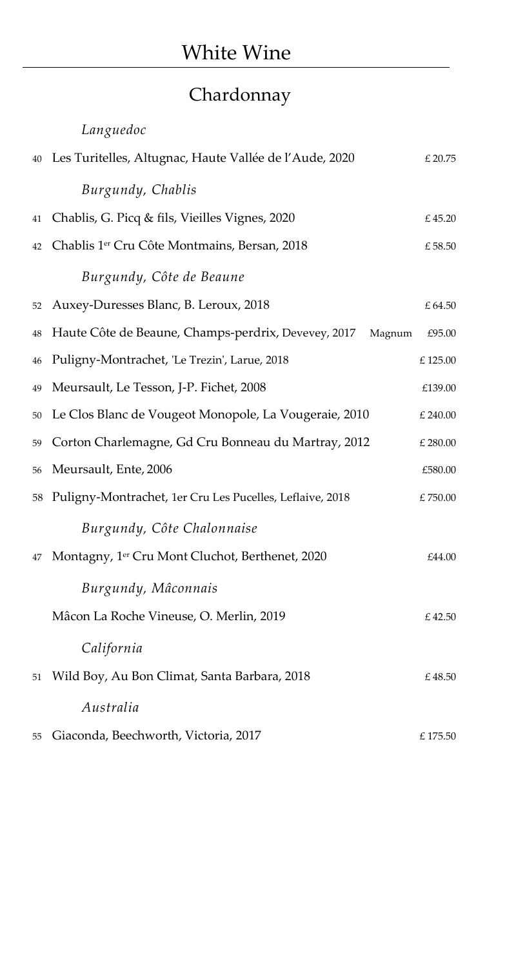## Chardonnay

<span id="page-3-0"></span>

|    | Languedoc                                                   |                  |
|----|-------------------------------------------------------------|------------------|
| 40 | Les Turitelles, Altugnac, Haute Vallée de l'Aude, 2020      | $£$ 20.75        |
|    | Burgundy, Chablis                                           |                  |
| 41 | Chablis, G. Picq & fils, Vieilles Vignes, 2020              | £45.20           |
| 42 | Chablis 1 <sup>er</sup> Cru Côte Montmains, Bersan, 2018    | $\pounds$ 58.50  |
|    | Burgundy, Côte de Beaune                                    |                  |
| 52 | Auxey-Duresses Blanc, B. Leroux, 2018                       | £64.50           |
| 48 | Haute Côte de Beaune, Champs-perdrix, Devevey, 2017 Magnum  | £95.00           |
| 46 | Puligny-Montrachet, 'Le Trezin', Larue, 2018                | £125.00          |
| 49 | Meursault, Le Tesson, J-P. Fichet, 2008                     | £139.00          |
| 50 | Le Clos Blanc de Vougeot Monopole, La Vougeraie, 2010       | £ 240.00         |
| 59 | Corton Charlemagne, Gd Cru Bonneau du Martray, 2012         | £ 280.00         |
| 56 | Meursault, Ente, 2006                                       | £580.00          |
|    | 58 Puligny-Montrachet, 1er Cru Les Pucelles, Leflaive, 2018 | $\pounds$ 750.00 |
|    | Burgundy, Côte Chalonnaise                                  |                  |
| 47 | Montagny, 1er Cru Mont Cluchot, Berthenet, 2020             | £44.00           |
|    | Burgundy, Mâconnais                                         |                  |
|    | Mâcon La Roche Vineuse, O. Merlin, 2019                     | £ 42.50          |
|    | California                                                  |                  |
| 51 | Wild Boy, Au Bon Climat, Santa Barbara, 2018                | £48.50           |
|    | Australia                                                   |                  |
| 55 | Giaconda, Beechworth, Victoria, 2017                        | £175.50          |
|    |                                                             |                  |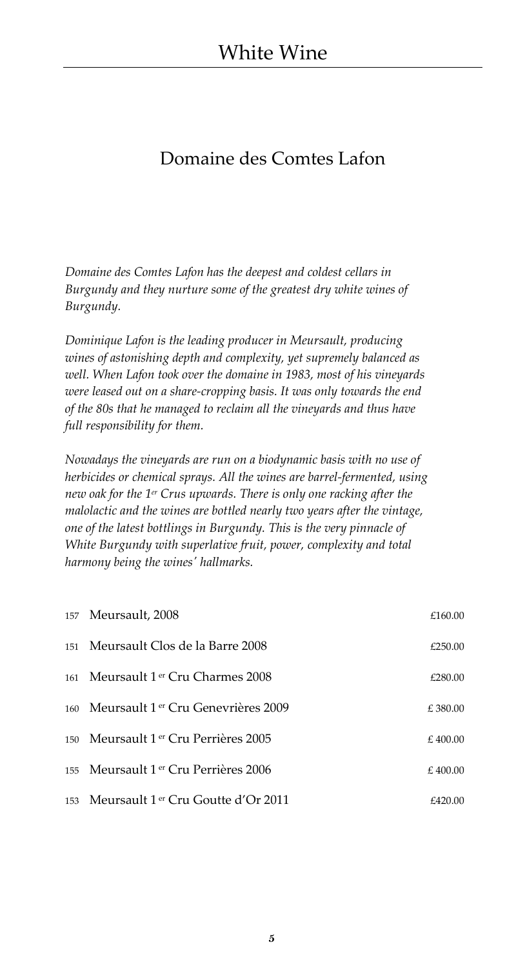### <span id="page-4-0"></span>Domaine des Comtes Lafon

*Domaine des Comtes Lafon has the deepest and coldest cellars in Burgundy and they nurture some of the greatest dry white wines of Burgundy.*

*Dominique Lafon is the leading producer in Meursault, producing wines of astonishing depth and complexity, yet supremely balanced as well. When Lafon took over the domaine in 1983, most of his vineyards were leased out on a share-cropping basis. It was only towards the end of the 80s that he managed to reclaim all the vineyards and thus have full responsibility for them.*

*Nowadays the vineyards are run on a biodynamic basis with no use of herbicides or chemical sprays. All the wines are barrel-fermented, using new oak for the 1 er Crus upwards. There is only one racking after the malolactic and the wines are bottled nearly two years after the vintage, one of the latest bottlings in Burgundy. This is the very pinnacle of White Burgundy with superlative fruit, power, complexity and total harmony being the wines' hallmarks.*

| 157 Meursault, 2008                     | £160.00  |
|-----------------------------------------|----------|
| 151 Meursault Clos de la Barre 2008     | £250.00  |
| 161 Meursault 1 er Cru Charmes 2008     | £280.00  |
| 160 Meursault 1 er Cru Genevrières 2009 | £ 380.00 |
| 150 Meursault 1 er Cru Perrières 2005   | £400.00  |
| 155 Meursault 1 er Cru Perrières 2006   | £ 400.00 |
| 153 Meursault 1 er Cru Goutte d'Or 2011 | £420.00  |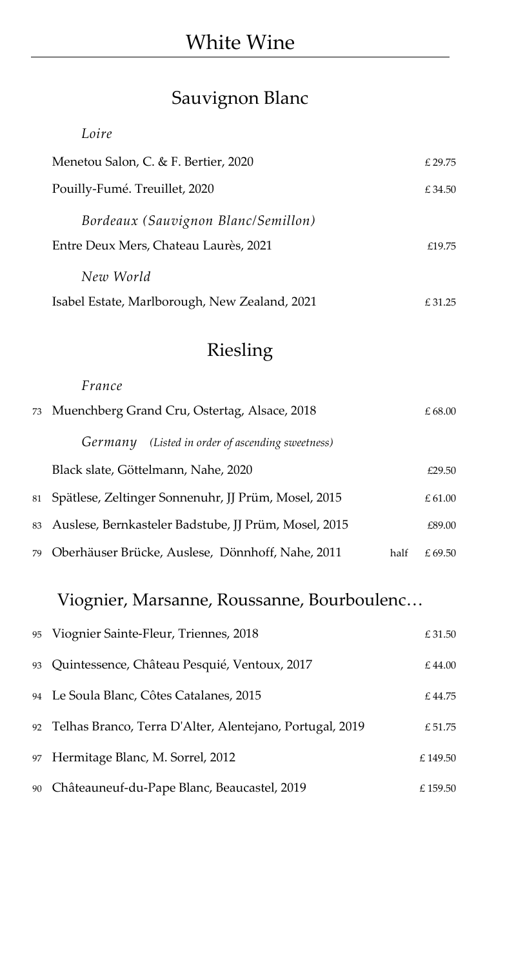## Sauvignon Blanc

<span id="page-5-0"></span>

| Loire                                         |         |
|-----------------------------------------------|---------|
| Menetou Salon, C. & F. Bertier, 2020          | £ 29.75 |
| Pouilly-Fumé. Treuillet, 2020                 | £ 34.50 |
| Bordeaux (Sauvignon Blanc/Semillon)           |         |
| Entre Deux Mers, Chateau Laurès, 2021         | £19.75  |
| New World                                     |         |
| Isabel Estate, Marlborough, New Zealand, 2021 | £31.25  |

## Riesling

<span id="page-5-1"></span>

|    | France                                                  |      |         |
|----|---------------------------------------------------------|------|---------|
|    | 73 Muenchberg Grand Cru, Ostertag, Alsace, 2018         |      | £ 68.00 |
|    | (Listed in order of ascending sweetness)<br>Germany     |      |         |
|    | Black slate, Göttelmann, Nahe, 2020                     |      | £29.50  |
| 81 | Spätlese, Zeltinger Sonnenuhr, JJ Prüm, Mosel, 2015     |      | £61.00  |
|    | 83 Auslese, Bernkasteler Badstube, JJ Prüm, Mosel, 2015 |      | £89.00  |
| 79 | Oberhäuser Brücke, Auslese, Dönnhoff, Nahe, 2011        | half | £ 69.50 |

## <span id="page-5-2"></span>Viognier, Marsanne, Roussanne, Bourboulenc…

| 95 Viognier Sainte-Fleur, Triennes, 2018                    | £ 31.50  |
|-------------------------------------------------------------|----------|
| 93 Quintessence, Château Pesquié, Ventoux, 2017             | £44.00   |
| 94 Le Soula Blanc, Côtes Catalanes, 2015                    | £44.75   |
| 92 Telhas Branco, Terra D'Alter, Alentejano, Portugal, 2019 | £ 51.75  |
| 97 Hermitage Blanc, M. Sorrel, 2012                         | £149.50  |
| 90 Châteauneuf-du-Pape Blanc, Beaucastel, 2019              | £ 159.50 |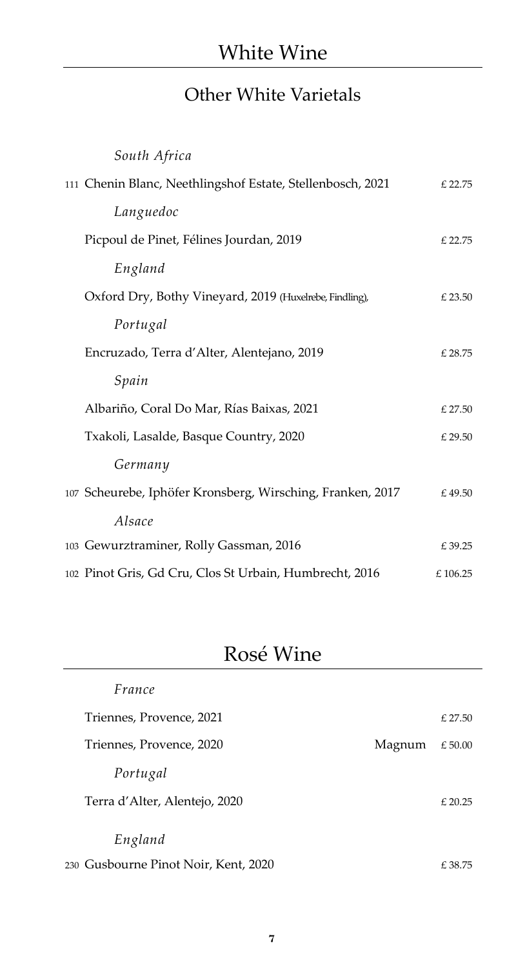## Other White Varietals

<span id="page-6-0"></span>

| South Africa                                               |                  |
|------------------------------------------------------------|------------------|
| 111 Chenin Blanc, Neethlingshof Estate, Stellenbosch, 2021 | £ 22.75          |
| Languedoc                                                  |                  |
| Picpoul de Pinet, Félines Jourdan, 2019                    | £ 22.75          |
| England                                                    |                  |
| Oxford Dry, Bothy Vineyard, 2019 (Huxelrebe, Findling),    | £ 23.50          |
| Portugal                                                   |                  |
| Encruzado, Terra d'Alter, Alentejano, 2019                 | $\pounds\,28.75$ |
| Spain                                                      |                  |
| Albariño, Coral Do Mar, Rías Baixas, 2021                  | £ 27.50          |
| Txakoli, Lasalde, Basque Country, 2020                     | £ 29.50          |
| Germany                                                    |                  |
| 107 Scheurebe, Iphöfer Kronsberg, Wirsching, Franken, 2017 | £49.50           |
| Alsace                                                     |                  |
| 103 Gewurztraminer, Rolly Gassman, 2016                    | £39.25           |
| 102 Pinot Gris, Gd Cru, Clos St Urbain, Humbrecht, 2016    | $\pounds$ 106.25 |

## Rosé Wine

| France                               |        |           |
|--------------------------------------|--------|-----------|
| Triennes, Provence, 2021             |        | $£$ 27.50 |
| Triennes, Provence, 2020             | Magnum | £50.00    |
| Portugal                             |        |           |
| Terra d'Alter, Alentejo, 2020        |        | $£$ 20.25 |
| England                              |        |           |
| 230 Gusbourne Pinot Noir, Kent, 2020 |        | £38.75    |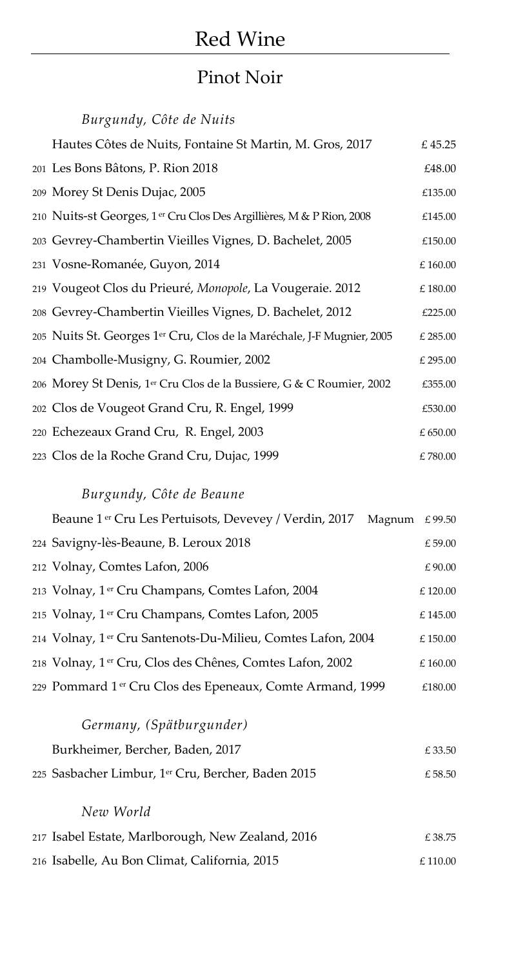#### Pinot Noir

<span id="page-7-0"></span>*Burgundy, Côte de Nuits* Hautes Côtes de Nuits, Fontaine St Martin, M. Gros, 2017  $\epsilon$  45.25 201 Les Bons Bâtons, P. Rion 2018 £48.00 209 Morey St Denis Dujac, 2005  $\epsilon$ 135.00 210 Nuits-st Georges, 1 er Cru Clos Des Argillières, M & P Rion, 2008 £145.00 203 Gevrey-Chambertin Vieilles Vignes, D. Bachelet, 2005 £150.00 231 Vosne-Romanée, Guyon, 2014 £ 160.00 219 Vougeot Clos du Prieuré, *Monopole*, La Vougeraie. 2012 £ 180.00 208 Gevrey-Chambertin Vieilles Vignes, D. Bachelet, 2012 £225.00 205 Nuits St. Georges 1<sup>er</sup> Cru, Clos de la Maréchale, J-F Mugnier, 2005 £ 285.00 204 Chambolle-Musigny, G. Roumier, 2002 <br>
£ 295.00 206 Morey St Denis, 1 er Cru Clos de la Bussiere, G & C Roumier, 2002 £355.00 202 Clos de Vougeot Grand Cru, R. Engel, 1999 £530.00 220 Echezeaux Grand Cru, R. Engel,  $2003$   $£ 650.00$ 223 Clos de la Roche Grand Cru, Dujac, 1999  $\epsilon$  780.00

#### *Burgundy, Côte de Beaune*

| Beaune 1 <sup>er</sup> Cru Les Pertuisots, Devevey / Verdin, 2017 Magnum £99.50 |         |
|---------------------------------------------------------------------------------|---------|
| 224 Savigny-lès-Beaune, B. Leroux 2018                                          | £59.00  |
| 212 Volnay, Comtes Lafon, 2006                                                  | £90.00  |
| 213 Volnay, 1er Cru Champans, Comtes Lafon, 2004                                | £120.00 |
| 215 Volnay, 1 <sup>er</sup> Cru Champans, Comtes Lafon, 2005                    | £145.00 |
| 214 Volnay, 1er Cru Santenots-Du-Milieu, Comtes Lafon, 2004                     | £150.00 |
| 218 Volnay, 1 <sup>er</sup> Cru, Clos des Chênes, Comtes Lafon, 2002            | £160.00 |
| 229 Pommard 1 <sup>er</sup> Cru Clos des Epeneaux, Comte Armand, 1999           | £180.00 |
|                                                                                 |         |

| Germany, (Spätburgunder)                           |        |
|----------------------------------------------------|--------|
| Burkheimer, Bercher, Baden, 2017                   | £33.50 |
| 225 Sasbacher Limbur, 1er Cru, Bercher, Baden 2015 | £58.50 |
| New World                                          |        |
|                                                    |        |

217 Isabel Estate, Marlborough, New Zealand,  $2016$   $\epsilon$  38.75 216 Isabelle, Au Bon Climat, California*,* 2015 £ 110.00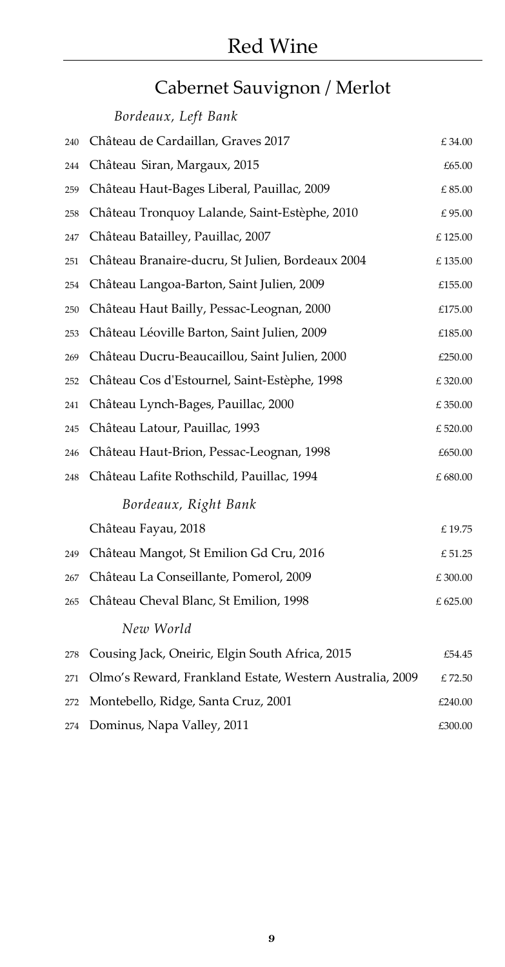# Cabernet Sauvignon / Merlot

<span id="page-8-0"></span>

|     | Bordeaux, Left Bank                                      |                  |
|-----|----------------------------------------------------------|------------------|
| 240 | Château de Cardaillan, Graves 2017                       | £34.00           |
| 244 | Château Siran, Margaux, 2015                             | £65.00           |
| 259 | Château Haut-Bages Liberal, Pauillac, 2009               | $\pounds\,85.00$ |
| 258 | Château Tronquoy Lalande, Saint-Estèphe, 2010            | £95.00           |
| 247 | Château Batailley, Pauillac, 2007                        | £125.00          |
| 251 | Château Branaire-ducru, St Julien, Bordeaux 2004         | £135.00          |
| 254 | Château Langoa-Barton, Saint Julien, 2009                | £155.00          |
| 250 | Château Haut Bailly, Pessac-Leognan, 2000                | £175.00          |
| 253 | Château Léoville Barton, Saint Julien, 2009              | £185.00          |
| 269 | Château Ducru-Beaucaillou, Saint Julien, 2000            | £250.00          |
| 252 | Château Cos d'Estournel, Saint-Estèphe, 1998             | £320.00          |
| 241 | Château Lynch-Bages, Pauillac, 2000                      | $\pounds$ 350.00 |
| 245 | Château Latour, Pauillac, 1993                           | £520.00          |
| 246 | Château Haut-Brion, Pessac-Leognan, 1998                 | £650.00          |
| 248 | Château Lafite Rothschild, Pauillac, 1994                | $\pounds$ 680.00 |
|     | Bordeaux, Right Bank                                     |                  |
|     | Château Fayau, 2018                                      | £19.75           |
| 249 | Château Mangot, St Emilion Gd Cru, 2016                  | £ 51.25          |
| 267 | Château La Conseillante, Pomerol, 2009                   | £300.00          |
| 265 | Château Cheval Blanc, St Emilion, 1998                   | £625.00          |
|     | New World                                                |                  |
| 278 | Cousing Jack, Oneiric, Elgin South Africa, 2015          | £54.45           |
| 271 | Olmo's Reward, Frankland Estate, Western Australia, 2009 | £72.50           |
| 272 | Montebello, Ridge, Santa Cruz, 2001                      | £240.00          |
| 274 | Dominus, Napa Valley, 2011                               | £300.00          |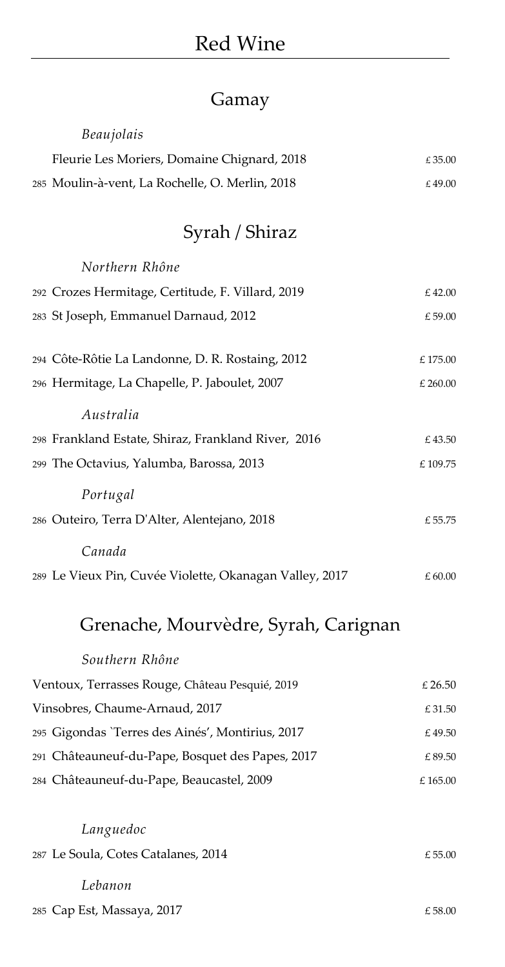## Gamay

<span id="page-9-2"></span><span id="page-9-1"></span><span id="page-9-0"></span>

| Beaujolais                                              |                  |
|---------------------------------------------------------|------------------|
| Fleurie Les Moriers, Domaine Chignard, 2018             | £35.00           |
| 285 Moulin-à-vent, La Rochelle, O. Merlin, 2018         | £49.00           |
| Syrah / Shiraz                                          |                  |
| Northern Rhône                                          |                  |
| 292 Crozes Hermitage, Certitude, F. Villard, 2019       | £42.00           |
| 283 St Joseph, Emmanuel Darnaud, 2012                   | £59.00           |
| 294 Côte-Rôtie La Landonne, D. R. Rostaing, 2012        | £175.00          |
| 296 Hermitage, La Chapelle, P. Jaboulet, 2007           | £ 260.00         |
| Australia                                               |                  |
| 298 Frankland Estate, Shiraz, Frankland River, 2016     | £43.50           |
| 299 The Octavius, Yalumba, Barossa, 2013                | $\pounds$ 109.75 |
| Portugal                                                |                  |
| 286 Outeiro, Terra D'Alter, Alentejano, 2018            | £ 55.75          |
| Canada                                                  |                  |
| 289 Le Vieux Pin, Cuvée Violette, Okanagan Valley, 2017 | $\pounds$ 60.00  |
| Grenache, Mourvèdre, Syrah, Carignan                    |                  |
| Southern Rhône                                          |                  |
| Ventoux, Terrasses Rouge, Château Pesquié, 2019         | £26.50           |
| Vinsobres, Chaume-Arnaud, 2017                          | £31.50           |
| 295 Gigondas 'Terres des Ainés', Montirius, 2017        | £49.50           |
| 291 Châteauneuf-du-Pape, Bosquet des Papes, 2017        | £89.50           |
| 284 Châteauneuf-du-Pape, Beaucastel, 2009               | $\pounds$ 165.00 |
| Languedoc                                               |                  |
| 287 Le Soula, Cotes Catalanes, 2014                     | £ 55.00          |
|                                                         |                  |

*Lebanon*

285 Cap Est, Massaya, 2017  $\epsilon$  58.00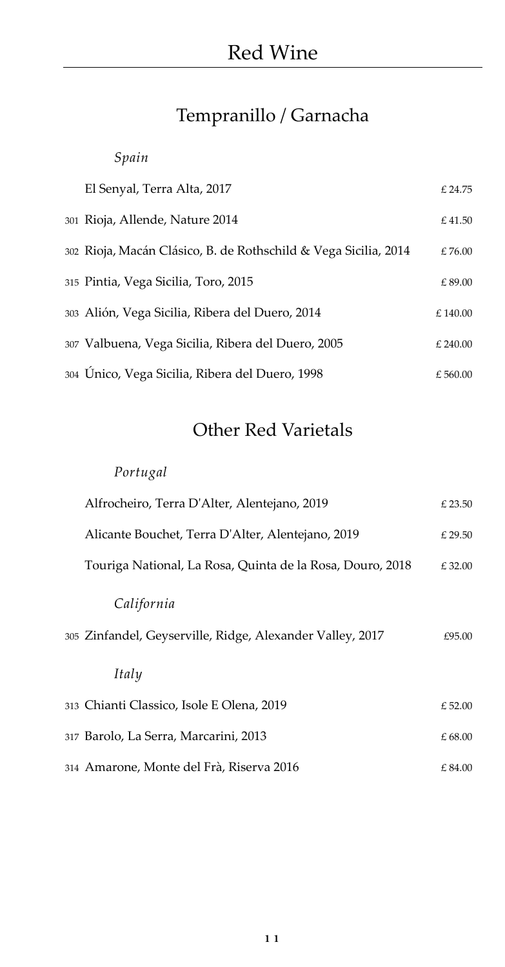## Tempranillo / Garnacha

### <span id="page-10-0"></span>*Spain*

| El Senyal, Terra Alta, 2017                                     | £24.75   |
|-----------------------------------------------------------------|----------|
| 301 Rioja, Allende, Nature 2014                                 | £41.50   |
| 302 Rioja, Macán Clásico, B. de Rothschild & Vega Sicilia, 2014 | £76.00   |
| 315 Pintia, Vega Sicilia, Toro, 2015                            | £89.00   |
| 303 Alión, Vega Sicilia, Ribera del Duero, 2014                 | £140.00  |
| 307 Valbuena, Vega Sicilia, Ribera del Duero, 2005              | £ 240.00 |
| 304 Unico, Vega Sicilia, Ribera del Duero, 1998                 | £ 560.00 |

## Other Red Varietals

### <span id="page-10-1"></span>*Portugal*

| Alfrocheiro, Terra D'Alter, Alentejano, 2019              | £ 23.50 |
|-----------------------------------------------------------|---------|
| Alicante Bouchet, Terra D'Alter, Alentejano, 2019         | £ 29.50 |
| Touriga National, La Rosa, Quinta de la Rosa, Douro, 2018 | £32.00  |
| California                                                |         |
| 305 Zinfandel, Geyserville, Ridge, Alexander Valley, 2017 | £95.00  |
| Italy                                                     |         |
| 313 Chianti Classico, Isole E Olena, 2019                 | £52.00  |
| 317 Barolo, La Serra, Marcarini, 2013                     | £68.00  |
| 314 Amarone, Monte del Frà, Riserva 2016                  | £84.00  |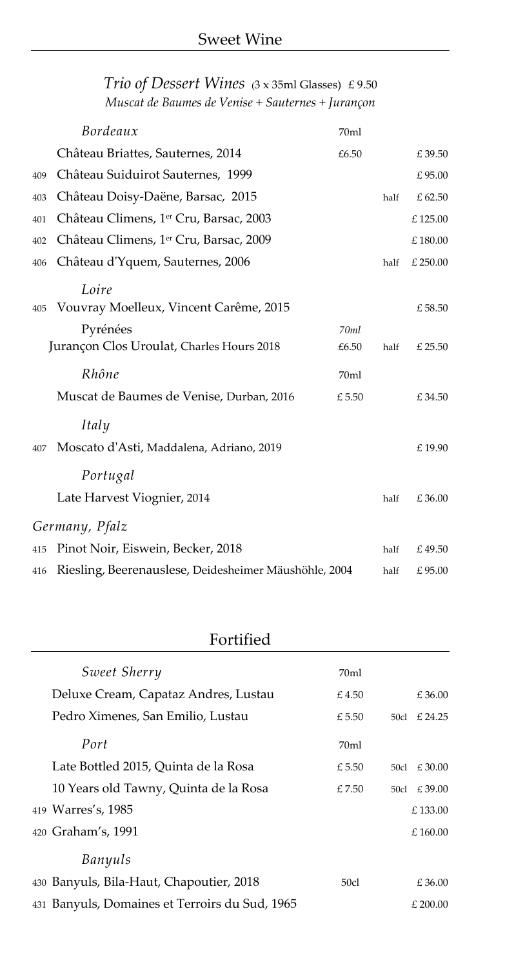|     | Bordeaux                                              | 70ml  |      |          |
|-----|-------------------------------------------------------|-------|------|----------|
|     | Château Briattes, Sauternes, 2014                     | £6.50 |      | £39.50   |
| 409 | Château Suiduirot Sauternes, 1999                     |       |      | £95.00   |
| 403 | Château Doisy-Daëne, Barsac, 2015                     |       | half | £62.50   |
| 401 | Château Climens, 1 <sup>er</sup> Cru, Barsac, 2003    |       |      | £125.00  |
| 402 | Château Climens, 1 <sup>er</sup> Cru, Barsac, 2009    |       |      | £180.00  |
| 406 | Château d'Yquem, Sauternes, 2006                      |       | half | £ 250.00 |
|     | Loire                                                 |       |      |          |
| 405 | Vouvray Moelleux, Vincent Carême, 2015                |       |      | £58.50   |
|     | Pyrénées                                              | 70ml  |      |          |
|     | Jurançon Clos Uroulat, Charles Hours 2018             | £6.50 | half | £ 25.50  |
|     | Rhône                                                 | 70ml  |      |          |
|     | Muscat de Baumes de Venise, Durban, 2016              | £5.50 |      | £34.50   |
|     | Italy                                                 |       |      |          |
| 407 | Moscato d'Asti, Maddalena, Adriano, 2019              |       |      | £19.90   |
|     |                                                       |       |      |          |
|     | Portugal                                              |       |      |          |
|     | Late Harvest Viognier, 2014                           |       | half | £36.00   |
|     | Germany, Pfalz                                        |       |      |          |
| 415 | Pinot Noir, Eiswein, Becker, 2018                     |       | half | £49.50   |
| 416 | Riesling, Beerenauslese, Deidesheimer Mäushöhle, 2004 |       | half | £95.00   |

### <span id="page-11-0"></span>*Trio of Dessert Wines* (3 x 35ml Glasses) £ 9.50 *Muscat de Baumes de Venise + Sauternes + Jurançon*

### Fortified

<span id="page-11-1"></span>

| Sweet Sherry                                   | 70ml  |      |             |
|------------------------------------------------|-------|------|-------------|
| Deluxe Cream, Capataz Andres, Lustau           | £4.50 |      | £36.00      |
| Pedro Ximenes, San Emilio, Lustau              | £5.50 | 50cl | £ 24.25     |
| Port                                           | 70ml  |      |             |
| Late Bottled 2015, Quinta de la Rosa           | £5.50 | 50cl | £30.00      |
| 10 Years old Tawny, Quinta de la Rosa          | £7.50 |      | 50cl £39.00 |
| 419 Warres's, 1985                             |       |      | £133.00     |
| 420 Graham's, 1991                             |       |      | £ $160.00$  |
| Banyuls                                        |       |      |             |
| 430 Banyuls, Bila-Haut, Chapoutier, 2018       | 50cl  |      | £36.00      |
| 431 Banyuls, Domaines et Terroirs du Sud, 1965 |       |      | $£$ 200.00  |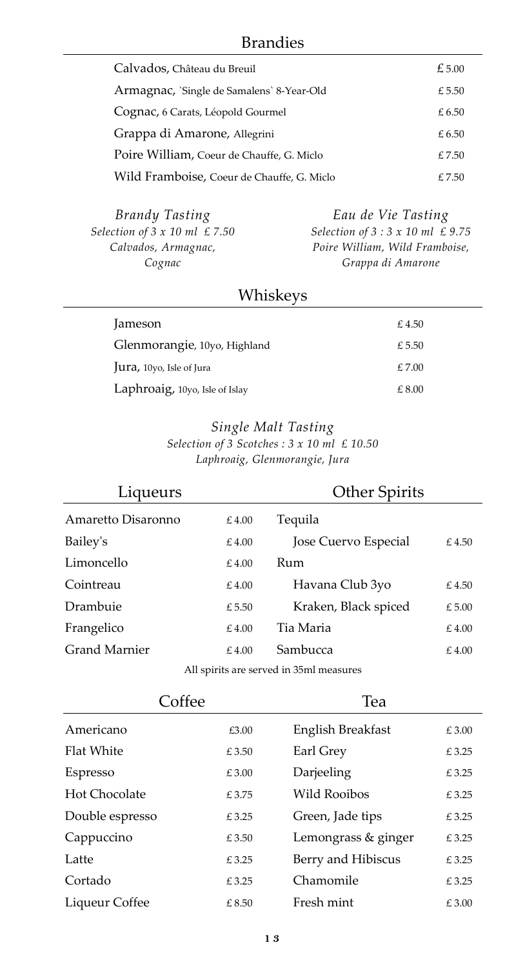#### Brandies

<span id="page-12-0"></span>

| Calvados, Château du Breuil                | £5.00 |
|--------------------------------------------|-------|
| Armagnac, `Single de Samalens` 8-Year-Old  | £5.50 |
| Cognac, 6 Carats, Léopold Gourmel          | £6.50 |
| Grappa di Amarone, Allegrini               | £6.50 |
| Poire William, Coeur de Chauffe, G. Miclo  | £7.50 |
| Wild Framboise, Coeur de Chauffe, G. Miclo | £7.50 |

| <b>Brandy Tasting</b>                    | Eau de Vie Tasting                          |
|------------------------------------------|---------------------------------------------|
| Selection of $3 \times 10$ ml $\le 7.50$ | Selection of $3:3 \times 10$ ml $\leq 9.75$ |
| Calvados, Armagnac,                      | Poire William, Wild Framboise,              |
| Cognac                                   | Grappa di Amarone                           |

### Whiskeys

<span id="page-12-1"></span>

| Jameson                          | £4.50  |
|----------------------------------|--------|
| Glenmorangie, 10yo, Highland     | £ 5.50 |
| <b>Jura</b> , 10yo, Isle of Jura | £7.00  |
| Laphroaig, 10yo, Isle of Islay   | £ 8.00 |

#### *Single Malt Tasting Selection of 3 Scotches : 3 x 10 ml £ 10.50 Laphroaig, Glenmorangie, Jura*

<span id="page-12-2"></span>

| Liqueurs             |       | <b>Other Spirits</b> |       |
|----------------------|-------|----------------------|-------|
| Amaretto Disaronno   | £4.00 | Tequila              |       |
| Bailey's             | £4.00 | Jose Cuervo Especial | £4.50 |
| Limoncello           | £4.00 | Rum                  |       |
| Cointreau            | £4.00 | Havana Club 3yo      | £4.50 |
| Drambuie             | £5.50 | Kraken, Black spiced | £5.00 |
| Frangelico           | £4.00 | Tia Maria            | £4.00 |
| <b>Grand Marnier</b> | £4.00 | Sambucca             | £4.00 |
|                      |       |                      |       |

All spirits are served in 35ml measures

<span id="page-12-3"></span>

| Coffee            |       | Tea                 |       |
|-------------------|-------|---------------------|-------|
| Americano         | £3.00 | English Breakfast   | £3.00 |
| <b>Flat White</b> | £3.50 | Earl Grey           | £3.25 |
| Espresso          | £3.00 | Darjeeling          | £3.25 |
| Hot Chocolate     | £3.75 | Wild Rooibos        | £3.25 |
| Double espresso   | £3.25 | Green, Jade tips    | £3.25 |
| Cappuccino        | £3.50 | Lemongrass & ginger | £3.25 |
| Latte             | £3.25 | Berry and Hibiscus  | £3.25 |
| Cortado           | £3.25 | Chamomile           | £3.25 |
| Liqueur Coffee    | £8.50 | Fresh mint          | £3.00 |